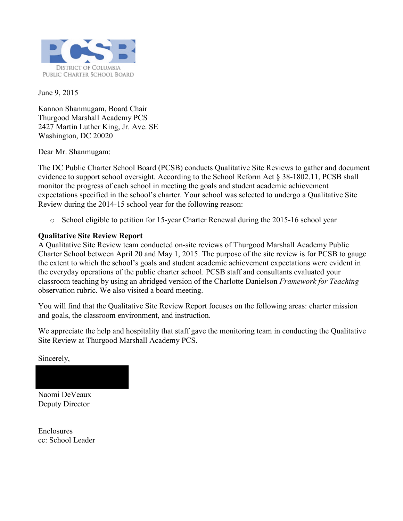

June 9, 2015

Kannon Shanmugam, Board Chair Thurgood Marshall Academy PCS 2427 Martin Luther King, Jr. Ave. SE Washington, DC 20020

Dear Mr. Shanmugam:

The DC Public Charter School Board (PCSB) conducts Qualitative Site Reviews to gather and document evidence to support school oversight. According to the School Reform Act § 38-1802.11, PCSB shall monitor the progress of each school in meeting the goals and student academic achievement expectations specified in the school's charter. Your school was selected to undergo a Qualitative Site Review during the 2014-15 school year for the following reason:

o School eligible to petition for 15-year Charter Renewal during the 2015-16 school year

#### **Qualitative Site Review Report**

A Qualitative Site Review team conducted on-site reviews of Thurgood Marshall Academy Public Charter School between April 20 and May 1, 2015. The purpose of the site review is for PCSB to gauge the extent to which the school's goals and student academic achievement expectations were evident in the everyday operations of the public charter school. PCSB staff and consultants evaluated your classroom teaching by using an abridged version of the Charlotte Danielson *Framework for Teaching* observation rubric. We also visited a board meeting.

You will find that the Qualitative Site Review Report focuses on the following areas: charter mission and goals, the classroom environment, and instruction.

We appreciate the help and hospitality that staff gave the monitoring team in conducting the Qualitative Site Review at Thurgood Marshall Academy PCS.

Sincerely,

Naomi DeVeaux Deputy Director

Enclosures cc: School Leader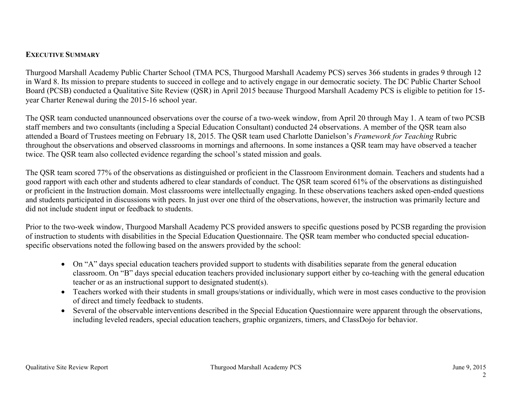#### **EXECUTIVE SUMMARY**

Thurgood Marshall Academy Public Charter School (TMA PCS, Thurgood Marshall Academy PCS) serves 366 students in grades 9 through 12 in Ward 8. Its mission to prepare students to succeed in college and to actively engage in our democratic society. The DC Public Charter School Board (PCSB) conducted a Qualitative Site Review (QSR) in April 2015 because Thurgood Marshall Academy PCS is eligible to petition for 15 year Charter Renewal during the 2015-16 school year.

The QSR team conducted unannounced observations over the course of a two-week window, from April 20 through May 1. A team of two PCSB staff members and two consultants (including a Special Education Consultant) conducted 24 observations. A member of the QSR team also attended a Board of Trustees meeting on February 18, 2015. The QSR team used Charlotte Danielson's *Framework for Teaching* Rubric throughout the observations and observed classrooms in mornings and afternoons. In some instances a QSR team may have observed a teacher twice. The QSR team also collected evidence regarding the school's stated mission and goals.

The QSR team scored 77% of the observations as distinguished or proficient in the Classroom Environment domain. Teachers and students had a good rapport with each other and students adhered to clear standards of conduct. The QSR team scored 61% of the observations as distinguished or proficient in the Instruction domain. Most classrooms were intellectually engaging. In these observations teachers asked open-ended questions and students participated in discussions with peers. In just over one third of the observations, however, the instruction was primarily lecture and did not include student input or feedback to students.

Prior to the two-week window, Thurgood Marshall Academy PCS provided answers to specific questions posed by PCSB regarding the provision of instruction to students with disabilities in the Special Education Questionnaire. The QSR team member who conducted special educationspecific observations noted the following based on the answers provided by the school:

- On "A" days special education teachers provided support to students with disabilities separate from the general education classroom. On "B" days special education teachers provided inclusionary support either by co-teaching with the general education teacher or as an instructional support to designated student(s).
- Teachers worked with their students in small groups/stations or individually, which were in most cases conductive to the provision of direct and timely feedback to students.
- Several of the observable interventions described in the Special Education Questionnaire were apparent through the observations, including leveled readers, special education teachers, graphic organizers, timers, and ClassDojo for behavior.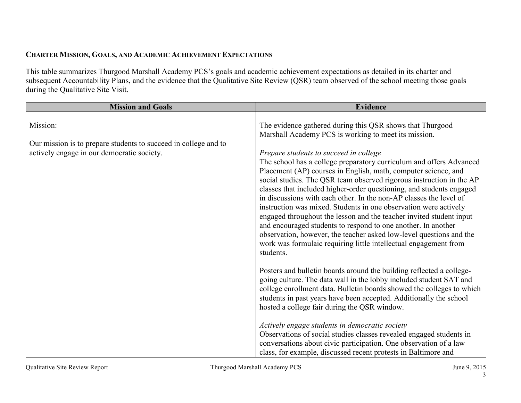### **CHARTER MISSION, GOALS, AND ACADEMIC ACHIEVEMENT EXPECTATIONS**

This table summarizes Thurgood Marshall Academy PCS's goals and academic achievement expectations as detailed in its charter and subsequent Accountability Plans, and the evidence that the Qualitative Site Review (QSR) team observed of the school meeting those goals during the Qualitative Site Visit.

| <b>Mission and Goals</b>                                                                                      | <b>Evidence</b>                                                                                                                                                                                                                                                                                                                                                                                                                                                                                                                                                                                                                                                                                                                                                           |
|---------------------------------------------------------------------------------------------------------------|---------------------------------------------------------------------------------------------------------------------------------------------------------------------------------------------------------------------------------------------------------------------------------------------------------------------------------------------------------------------------------------------------------------------------------------------------------------------------------------------------------------------------------------------------------------------------------------------------------------------------------------------------------------------------------------------------------------------------------------------------------------------------|
| Mission:                                                                                                      | The evidence gathered during this QSR shows that Thurgood<br>Marshall Academy PCS is working to meet its mission.                                                                                                                                                                                                                                                                                                                                                                                                                                                                                                                                                                                                                                                         |
| Our mission is to prepare students to succeed in college and to<br>actively engage in our democratic society. | Prepare students to succeed in college<br>The school has a college preparatory curriculum and offers Advanced<br>Placement (AP) courses in English, math, computer science, and<br>social studies. The QSR team observed rigorous instruction in the AP<br>classes that included higher-order questioning, and students engaged<br>in discussions with each other. In the non-AP classes the level of<br>instruction was mixed. Students in one observation were actively<br>engaged throughout the lesson and the teacher invited student input<br>and encouraged students to respond to one another. In another<br>observation, however, the teacher asked low-level questions and the<br>work was formulaic requiring little intellectual engagement from<br>students. |
|                                                                                                               | Posters and bulletin boards around the building reflected a college-<br>going culture. The data wall in the lobby included student SAT and<br>college enrollment data. Bulletin boards showed the colleges to which<br>students in past years have been accepted. Additionally the school<br>hosted a college fair during the QSR window.<br>Actively engage students in democratic society<br>Observations of social studies classes revealed engaged students in<br>conversations about civic participation. One observation of a law<br>class, for example, discussed recent protests in Baltimore and                                                                                                                                                                 |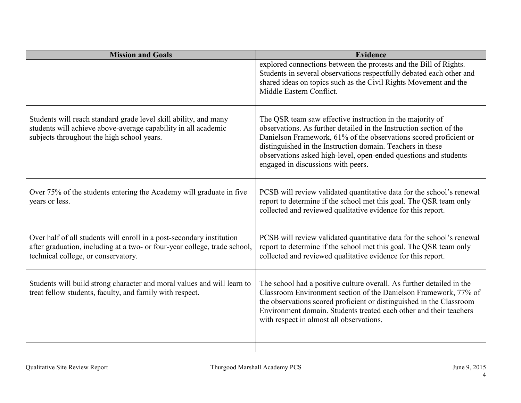| <b>Mission and Goals</b>                                                                                                                                                                  | <b>Evidence</b>                                                                                                                                                                                                                                                                                                                                                               |
|-------------------------------------------------------------------------------------------------------------------------------------------------------------------------------------------|-------------------------------------------------------------------------------------------------------------------------------------------------------------------------------------------------------------------------------------------------------------------------------------------------------------------------------------------------------------------------------|
|                                                                                                                                                                                           | explored connections between the protests and the Bill of Rights.<br>Students in several observations respectfully debated each other and<br>shared ideas on topics such as the Civil Rights Movement and the<br>Middle Eastern Conflict.                                                                                                                                     |
| Students will reach standard grade level skill ability, and many<br>students will achieve above-average capability in all academic<br>subjects throughout the high school years.          | The QSR team saw effective instruction in the majority of<br>observations. As further detailed in the Instruction section of the<br>Danielson Framework, 61% of the observations scored proficient or<br>distinguished in the Instruction domain. Teachers in these<br>observations asked high-level, open-ended questions and students<br>engaged in discussions with peers. |
| Over 75% of the students entering the Academy will graduate in five<br>years or less.                                                                                                     | PCSB will review validated quantitative data for the school's renewal<br>report to determine if the school met this goal. The QSR team only<br>collected and reviewed qualitative evidence for this report.                                                                                                                                                                   |
| Over half of all students will enroll in a post-secondary institution<br>after graduation, including at a two- or four-year college, trade school,<br>technical college, or conservatory. | PCSB will review validated quantitative data for the school's renewal<br>report to determine if the school met this goal. The QSR team only<br>collected and reviewed qualitative evidence for this report.                                                                                                                                                                   |
| Students will build strong character and moral values and will learn to<br>treat fellow students, faculty, and family with respect.                                                       | The school had a positive culture overall. As further detailed in the<br>Classroom Environment section of the Danielson Framework, 77% of<br>the observations scored proficient or distinguished in the Classroom<br>Environment domain. Students treated each other and their teachers<br>with respect in almost all observations.                                           |
|                                                                                                                                                                                           |                                                                                                                                                                                                                                                                                                                                                                               |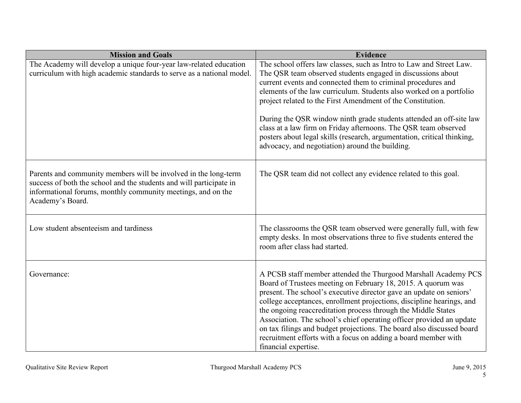| <b>Mission and Goals</b>                                                                                                                                                                                                   | <b>Evidence</b>                                                                                                                                                                                                                                                                                                                                                                                                                                                                                                                                                                                                  |
|----------------------------------------------------------------------------------------------------------------------------------------------------------------------------------------------------------------------------|------------------------------------------------------------------------------------------------------------------------------------------------------------------------------------------------------------------------------------------------------------------------------------------------------------------------------------------------------------------------------------------------------------------------------------------------------------------------------------------------------------------------------------------------------------------------------------------------------------------|
| The Academy will develop a unique four-year law-related education<br>curriculum with high academic standards to serve as a national model.                                                                                 | The school offers law classes, such as Intro to Law and Street Law.<br>The QSR team observed students engaged in discussions about<br>current events and connected them to criminal procedures and<br>elements of the law curriculum. Students also worked on a portfolio<br>project related to the First Amendment of the Constitution.<br>During the QSR window ninth grade students attended an off-site law<br>class at a law firm on Friday afternoons. The QSR team observed<br>posters about legal skills (research, argumentation, critical thinking,<br>advocacy, and negotiation) around the building. |
| Parents and community members will be involved in the long-term<br>success of both the school and the students and will participate in<br>informational forums, monthly community meetings, and on the<br>Academy's Board. | The QSR team did not collect any evidence related to this goal.                                                                                                                                                                                                                                                                                                                                                                                                                                                                                                                                                  |
| Low student absenteeism and tardiness                                                                                                                                                                                      | The classrooms the QSR team observed were generally full, with few<br>empty desks. In most observations three to five students entered the<br>room after class had started.                                                                                                                                                                                                                                                                                                                                                                                                                                      |
| Governance:                                                                                                                                                                                                                | A PCSB staff member attended the Thurgood Marshall Academy PCS<br>Board of Trustees meeting on February 18, 2015. A quorum was<br>present. The school's executive director gave an update on seniors'<br>college acceptances, enrollment projections, discipline hearings, and<br>the ongoing reaccreditation process through the Middle States<br>Association. The school's chief operating officer provided an update<br>on tax filings and budget projections. The board also discussed board<br>recruitment efforts with a focus on adding a board member with<br>financial expertise.                       |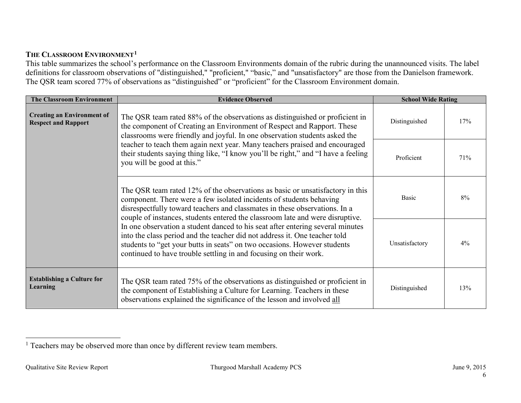### THE CLASSROOM ENVIRONMENT<sup>1</sup>

This table summarizes the school's performance on the Classroom Environments domain of the rubric during the unannounced visits. The label definitions for classroom observations of "distinguished," "proficient," "basic," and "unsatisfactory" are those from the Danielson framework. The QSR team scored 77% of observations as "distinguished" or "proficient" for the Classroom Environment domain.

| <b>The Classroom Environment</b>                                                                                                                                                                                                   | <b>Evidence Observed</b>                                                                                                                                                                                                                                                                                                                                                                       | <b>School Wide Rating</b> |     |
|------------------------------------------------------------------------------------------------------------------------------------------------------------------------------------------------------------------------------------|------------------------------------------------------------------------------------------------------------------------------------------------------------------------------------------------------------------------------------------------------------------------------------------------------------------------------------------------------------------------------------------------|---------------------------|-----|
| <b>Creating an Environment of</b><br><b>Respect and Rapport</b>                                                                                                                                                                    | The QSR team rated 88% of the observations as distinguished or proficient in<br>the component of Creating an Environment of Respect and Rapport. These<br>classrooms were friendly and joyful. In one observation students asked the                                                                                                                                                           | Distinguished             | 17% |
|                                                                                                                                                                                                                                    | teacher to teach them again next year. Many teachers praised and encouraged<br>their students saying thing like, "I know you'll be right," and "I have a feeling<br>you will be good at this."                                                                                                                                                                                                 | Proficient                | 71% |
| The QSR team rated 12% of the observations as basic or unsatisfactory in this<br>component. There were a few isolated incidents of students behaving<br>disrespectfully toward teachers and classmates in these observations. In a |                                                                                                                                                                                                                                                                                                                                                                                                | <b>Basic</b>              | 8%  |
|                                                                                                                                                                                                                                    | couple of instances, students entered the classroom late and were disruptive.<br>In one observation a student danced to his seat after entering several minutes<br>into the class period and the teacher did not address it. One teacher told<br>students to "get your butts in seats" on two occasions. However students<br>continued to have trouble settling in and focusing on their work. |                           | 4%  |
| <b>Establishing a Culture for</b><br><b>Learning</b>                                                                                                                                                                               | The QSR team rated 75% of the observations as distinguished or proficient in<br>the component of Establishing a Culture for Learning. Teachers in these<br>observations explained the significance of the lesson and involved all                                                                                                                                                              | Distinguished             | 13% |

 $<sup>1</sup>$  Teachers may be observed more than once by different review team members.</sup>  $\overline{\phantom{0}}$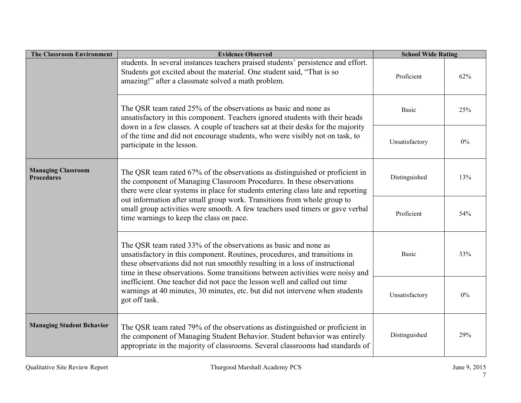| <b>The Classroom Environment</b>               | <b>Evidence Observed</b>                                                                                                                                                                                                                                                                                        | <b>School Wide Rating</b> |       |
|------------------------------------------------|-----------------------------------------------------------------------------------------------------------------------------------------------------------------------------------------------------------------------------------------------------------------------------------------------------------------|---------------------------|-------|
|                                                | students. In several instances teachers praised students' persistence and effort.<br>Students got excited about the material. One student said, "That is so<br>amazing!" after a classmate solved a math problem.                                                                                               | Proficient                | 62%   |
|                                                | The QSR team rated 25% of the observations as basic and none as<br>unsatisfactory in this component. Teachers ignored students with their heads                                                                                                                                                                 | <b>Basic</b>              | 25%   |
|                                                | down in a few classes. A couple of teachers sat at their desks for the majority<br>of the time and did not encourage students, who were visibly not on task, to<br>participate in the lesson.                                                                                                                   | Unsatisfactory            | $0\%$ |
| <b>Managing Classroom</b><br><b>Procedures</b> | The QSR team rated 67% of the observations as distinguished or proficient in<br>the component of Managing Classroom Procedures. In these observations<br>there were clear systems in place for students entering class late and reporting                                                                       |                           | 13%   |
|                                                | out information after small group work. Transitions from whole group to<br>small group activities were smooth. A few teachers used timers or gave verbal<br>time warnings to keep the class on pace.                                                                                                            | Proficient                | 54%   |
|                                                | The QSR team rated 33% of the observations as basic and none as<br>unsatisfactory in this component. Routines, procedures, and transitions in<br>these observations did not run smoothly resulting in a loss of instructional<br>time in these observations. Some transitions between activities were noisy and | <b>Basic</b>              | 33%   |
|                                                | inefficient. One teacher did not pace the lesson well and called out time<br>warnings at 40 minutes, 30 minutes, etc. but did not intervene when students<br>got off task.                                                                                                                                      | Unsatisfactory            | $0\%$ |
| <b>Managing Student Behavior</b>               | The QSR team rated 79% of the observations as distinguished or proficient in<br>the component of Managing Student Behavior. Student behavior was entirely<br>appropriate in the majority of classrooms. Several classrooms had standards of                                                                     | Distinguished             | 29%   |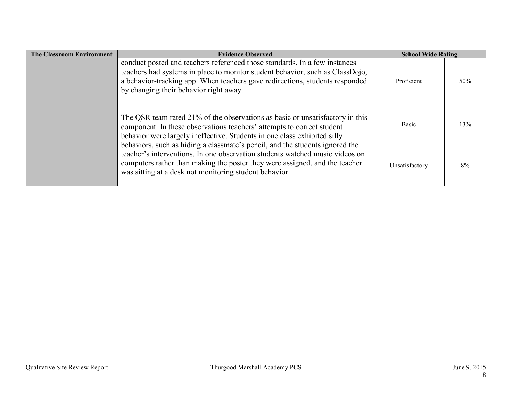| <b>The Classroom Environment</b>                                                                                                                                                                                                                                                      | <b>Evidence Observed</b>                                                                                                                                                                                                                                                                                            | <b>School Wide Rating</b> |     |
|---------------------------------------------------------------------------------------------------------------------------------------------------------------------------------------------------------------------------------------------------------------------------------------|---------------------------------------------------------------------------------------------------------------------------------------------------------------------------------------------------------------------------------------------------------------------------------------------------------------------|---------------------------|-----|
| conduct posted and teachers referenced those standards. In a few instances<br>teachers had systems in place to monitor student behavior, such as ClassDojo,<br>a behavior-tracking app. When teachers gave redirections, students responded<br>by changing their behavior right away. |                                                                                                                                                                                                                                                                                                                     | Proficient                | 50% |
|                                                                                                                                                                                                                                                                                       | The QSR team rated 21% of the observations as basic or unsatisfactory in this<br>component. In these observations teachers' attempts to correct student<br>behavior were largely ineffective. Students in one class exhibited silly<br>behaviors, such as hiding a classmate's pencil, and the students ignored the | <b>Basic</b>              | 13% |
|                                                                                                                                                                                                                                                                                       | teacher's interventions. In one observation students watched music videos on<br>computers rather than making the poster they were assigned, and the teacher<br>was sitting at a desk not monitoring student behavior.                                                                                               | Unsatisfactory            | 8%  |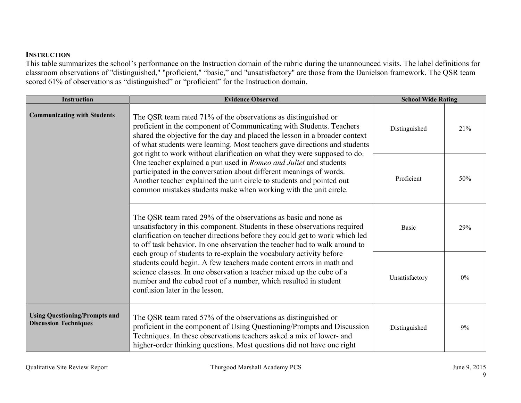#### **INSTRUCTION**

This table summarizes the school's performance on the Instruction domain of the rubric during the unannounced visits. The label definitions for classroom observations of "distinguished," "proficient," "basic," and "unsatisfactory" are those from the Danielson framework. The QSR team scored 61% of observations as "distinguished" or "proficient" for the Instruction domain.

| <b>Instruction</b>                                                   | <b>Evidence Observed</b>                                                                                                                                                                                                                                                                                                                                                                                                                                                                                                                                                                                                               | <b>School Wide Rating</b> |       |
|----------------------------------------------------------------------|----------------------------------------------------------------------------------------------------------------------------------------------------------------------------------------------------------------------------------------------------------------------------------------------------------------------------------------------------------------------------------------------------------------------------------------------------------------------------------------------------------------------------------------------------------------------------------------------------------------------------------------|---------------------------|-------|
| <b>Communicating with Students</b>                                   | The QSR team rated 71% of the observations as distinguished or<br>proficient in the component of Communicating with Students. Teachers<br>shared the objective for the day and placed the lesson in a broader context<br>of what students were learning. Most teachers gave directions and students                                                                                                                                                                                                                                                                                                                                    | Distinguished             | 21%   |
|                                                                      | got right to work without clarification on what they were supposed to do.<br>One teacher explained a pun used in Romeo and Juliet and students<br>participated in the conversation about different meanings of words.<br>Another teacher explained the unit circle to students and pointed out<br>common mistakes students make when working with the unit circle.                                                                                                                                                                                                                                                                     |                           | 50%   |
|                                                                      | The QSR team rated 29% of the observations as basic and none as<br>unsatisfactory in this component. Students in these observations required<br>clarification on teacher directions before they could get to work which led<br>to off task behavior. In one observation the teacher had to walk around to<br>each group of students to re-explain the vocabulary activity before<br>students could begin. A few teachers made content errors in math and<br>science classes. In one observation a teacher mixed up the cube of a<br>number and the cubed root of a number, which resulted in student<br>confusion later in the lesson. |                           | 29%   |
|                                                                      |                                                                                                                                                                                                                                                                                                                                                                                                                                                                                                                                                                                                                                        |                           | $0\%$ |
| <b>Using Questioning/Prompts and</b><br><b>Discussion Techniques</b> | The QSR team rated 57% of the observations as distinguished or<br>proficient in the component of Using Questioning/Prompts and Discussion<br>Techniques. In these observations teachers asked a mix of lower- and<br>higher-order thinking questions. Most questions did not have one right                                                                                                                                                                                                                                                                                                                                            | Distinguished             | 9%    |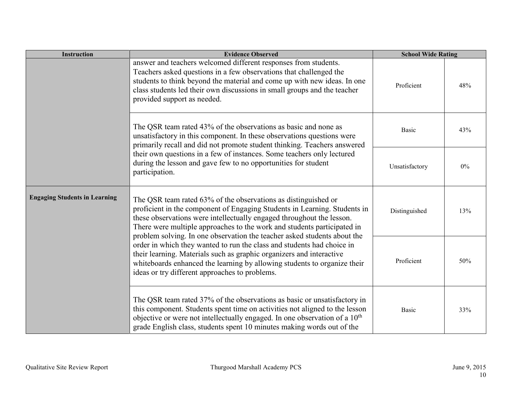| <b>Instruction</b>                                                                                                                                                                                                                     | <b>Evidence Observed</b>                                                                                                                                                                                                                                                                                                                                                    | <b>School Wide Rating</b> |       |
|----------------------------------------------------------------------------------------------------------------------------------------------------------------------------------------------------------------------------------------|-----------------------------------------------------------------------------------------------------------------------------------------------------------------------------------------------------------------------------------------------------------------------------------------------------------------------------------------------------------------------------|---------------------------|-------|
|                                                                                                                                                                                                                                        | answer and teachers welcomed different responses from students.<br>Teachers asked questions in a few observations that challenged the<br>students to think beyond the material and come up with new ideas. In one<br>class students led their own discussions in small groups and the teacher<br>provided support as needed.                                                | Proficient                | 48%   |
|                                                                                                                                                                                                                                        | The QSR team rated 43% of the observations as basic and none as<br>unsatisfactory in this component. In these observations questions were                                                                                                                                                                                                                                   | <b>Basic</b>              | 43%   |
| primarily recall and did not promote student thinking. Teachers answered<br>their own questions in a few of instances. Some teachers only lectured<br>during the lesson and gave few to no opportunities for student<br>participation. |                                                                                                                                                                                                                                                                                                                                                                             | Unsatisfactory            | $0\%$ |
| <b>Engaging Students in Learning</b>                                                                                                                                                                                                   | The QSR team rated 63% of the observations as distinguished or<br>proficient in the component of Engaging Students in Learning. Students in<br>these observations were intellectually engaged throughout the lesson.<br>There were multiple approaches to the work and students participated in<br>problem solving. In one observation the teacher asked students about the | Distinguished             | 13%   |
|                                                                                                                                                                                                                                        | order in which they wanted to run the class and students had choice in<br>their learning. Materials such as graphic organizers and interactive<br>whiteboards enhanced the learning by allowing students to organize their<br>ideas or try different approaches to problems.                                                                                                | Proficient                | 50%   |
|                                                                                                                                                                                                                                        | The QSR team rated 37% of the observations as basic or unsatisfactory in<br>this component. Students spent time on activities not aligned to the lesson<br>objective or were not intellectually engaged. In one observation of a 10 <sup>th</sup><br>grade English class, students spent 10 minutes making words out of the                                                 | <b>Basic</b>              | 33%   |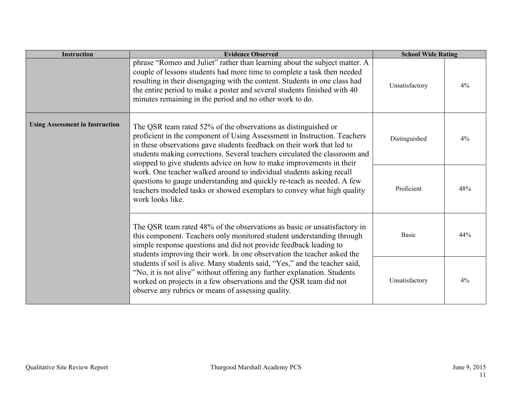| <b>Instruction</b>                     | <b>Evidence Observed</b>                                                                                                                                                                                                                                                                                                                                                    | <b>School Wide Rating</b> |       |
|----------------------------------------|-----------------------------------------------------------------------------------------------------------------------------------------------------------------------------------------------------------------------------------------------------------------------------------------------------------------------------------------------------------------------------|---------------------------|-------|
|                                        | phrase "Romeo and Juliet" rather than learning about the subject matter. A<br>couple of lessons students had more time to complete a task then needed<br>resulting in their disengaging with the content. Students in one class had<br>the entire period to make a poster and several students finished with 40<br>minutes remaining in the period and no other work to do. | Unsatisfactory            | $4\%$ |
| <b>Using Assessment in Instruction</b> | The QSR team rated 52% of the observations as distinguished or<br>proficient in the component of Using Assessment in Instruction. Teachers<br>in these observations gave students feedback on their work that led to<br>students making corrections. Several teachers circulated the classroom and<br>stopped to give students advice on how to make improvements in their  | Distinguished             | $4\%$ |
|                                        | work. One teacher walked around to individual students asking recall<br>questions to gauge understanding and quickly re-teach as needed. A few<br>teachers modeled tasks or showed exemplars to convey what high quality<br>work looks like.                                                                                                                                |                           | 48%   |
|                                        | The QSR team rated 48% of the observations as basic or unsatisfactory in<br>this component. Teachers only monitored student understanding through<br>simple response questions and did not provide feedback leading to<br>students improving their work. In one observation the teacher asked the                                                                           |                           | 44%   |
|                                        | students if soil is alive. Many students said, "Yes," and the teacher said,<br>"No, it is not alive" without offering any further explanation. Students<br>worked on projects in a few observations and the QSR team did not<br>observe any rubrics or means of assessing quality.                                                                                          | Unsatisfactory            | $4\%$ |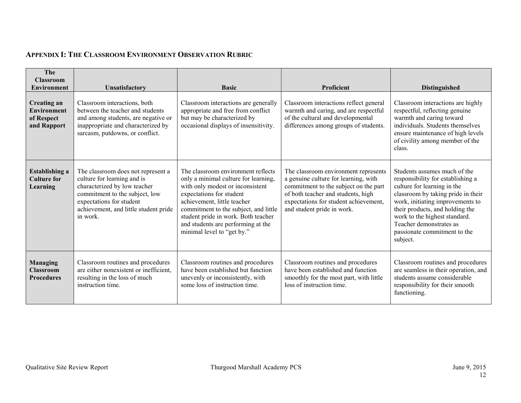# **APPENDIX I: THE CLASSROOM ENVIRONMENT OBSERVATION RUBRIC**

| The<br><b>Classroom</b><br><b>Environment</b>                         | Unsatisfactory                                                                                                                                                                                                       | <b>Basic</b>                                                                                                                                                                                                                                                                                                                  | Proficient                                                                                                                                                                                                                         | <b>Distinguished</b>                                                                                                                                                                                                                                                                                                  |
|-----------------------------------------------------------------------|----------------------------------------------------------------------------------------------------------------------------------------------------------------------------------------------------------------------|-------------------------------------------------------------------------------------------------------------------------------------------------------------------------------------------------------------------------------------------------------------------------------------------------------------------------------|------------------------------------------------------------------------------------------------------------------------------------------------------------------------------------------------------------------------------------|-----------------------------------------------------------------------------------------------------------------------------------------------------------------------------------------------------------------------------------------------------------------------------------------------------------------------|
| <b>Creating an</b><br><b>Environment</b><br>of Respect<br>and Rapport | Classroom interactions, both<br>between the teacher and students<br>and among students, are negative or<br>inappropriate and characterized by<br>sarcasm, putdowns, or conflict.                                     | Classroom interactions are generally<br>appropriate and free from conflict<br>but may be characterized by<br>occasional displays of insensitivity.                                                                                                                                                                            | Classroom interactions reflect general<br>warmth and caring, and are respectful<br>of the cultural and developmental<br>differences among groups of students.                                                                      | Classroom interactions are highly<br>respectful, reflecting genuine<br>warmth and caring toward<br>individuals. Students themselves<br>ensure maintenance of high levels<br>of civility among member of the<br>class.                                                                                                 |
| <b>Establishing a</b><br><b>Culture for</b><br>Learning               | The classroom does not represent a<br>culture for learning and is<br>characterized by low teacher<br>commitment to the subject, low<br>expectations for student<br>achievement, and little student pride<br>in work. | The classroom environment reflects<br>only a minimal culture for learning,<br>with only modest or inconsistent<br>expectations for student<br>achievement, little teacher<br>commitment to the subject, and little<br>student pride in work. Both teacher<br>and students are performing at the<br>minimal level to "get by." | The classroom environment represents<br>a genuine culture for learning, with<br>commitment to the subject on the part<br>of both teacher and students, high<br>expectations for student achievement,<br>and student pride in work. | Students assumes much of the<br>responsibility for establishing a<br>culture for learning in the<br>classroom by taking pride in their<br>work, initiating improvements to<br>their products, and holding the<br>work to the highest standard.<br>Teacher demonstrates as<br>passionate commitment to the<br>subject. |
| <b>Managing</b><br><b>Classroom</b><br><b>Procedures</b>              | Classroom routines and procedures<br>are either nonexistent or inefficient,<br>resulting in the loss of much<br>instruction time.                                                                                    | Classroom routines and procedures<br>have been established but function<br>unevenly or inconsistently, with<br>some loss of instruction time.                                                                                                                                                                                 | Classroom routines and procedures<br>have been established and function<br>smoothly for the most part, with little<br>loss of instruction time.                                                                                    | Classroom routines and procedures<br>are seamless in their operation, and<br>students assume considerable<br>responsibility for their smooth<br>functioning.                                                                                                                                                          |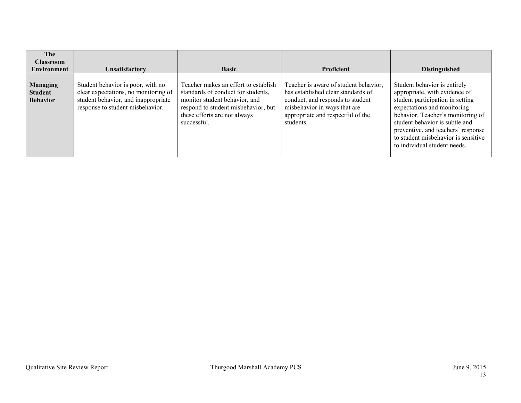| The<br><b>Classroom</b><br><b>Environment</b>        | <b>Unsatisfactory</b>                                                                                                                                | <b>Basic</b>                                                                                                                                                                                      | <b>Proficient</b>                                                                                                                                                                                 | <b>Distinguished</b>                                                                                                                                                                                                                                                                                                 |
|------------------------------------------------------|------------------------------------------------------------------------------------------------------------------------------------------------------|---------------------------------------------------------------------------------------------------------------------------------------------------------------------------------------------------|---------------------------------------------------------------------------------------------------------------------------------------------------------------------------------------------------|----------------------------------------------------------------------------------------------------------------------------------------------------------------------------------------------------------------------------------------------------------------------------------------------------------------------|
| <b>Managing</b><br><b>Student</b><br><b>Behavior</b> | Student behavior is poor, with no<br>clear expectations, no monitoring of<br>student behavior, and inappropriate<br>response to student misbehavior. | Teacher makes an effort to establish<br>standards of conduct for students,<br>monitor student behavior, and<br>respond to student misbehavior, but<br>these efforts are not always<br>successful. | Teacher is aware of student behavior,<br>has established clear standards of<br>conduct, and responds to student<br>misbehavior in ways that are<br>appropriate and respectful of the<br>students. | Student behavior is entirely<br>appropriate, with evidence of<br>student participation in setting<br>expectations and monitoring<br>behavior. Teacher's monitoring of<br>student behavior is subtle and<br>preventive, and teachers' response<br>to student misbehavior is sensitive<br>to individual student needs. |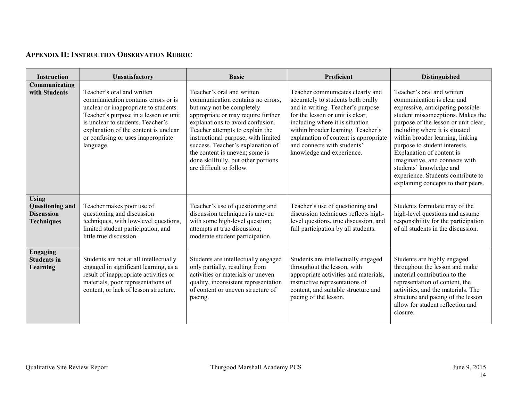## **APPENDIX II: INSTRUCTION OBSERVATION RUBRIC**

| <b>Instruction</b>                                                        | Unsatisfactory                                                                                                                                                                                                                                                                       | <b>Basic</b>                                                                                                                                                                                                                                                                                                                                                                               | Proficient                                                                                                                                                                                                                                                                                                                    | Distinguished                                                                                                                                                                                                                                                                                                                                                                                                                                            |
|---------------------------------------------------------------------------|--------------------------------------------------------------------------------------------------------------------------------------------------------------------------------------------------------------------------------------------------------------------------------------|--------------------------------------------------------------------------------------------------------------------------------------------------------------------------------------------------------------------------------------------------------------------------------------------------------------------------------------------------------------------------------------------|-------------------------------------------------------------------------------------------------------------------------------------------------------------------------------------------------------------------------------------------------------------------------------------------------------------------------------|----------------------------------------------------------------------------------------------------------------------------------------------------------------------------------------------------------------------------------------------------------------------------------------------------------------------------------------------------------------------------------------------------------------------------------------------------------|
| Communicating<br>with Students                                            | Teacher's oral and written<br>communication contains errors or is<br>unclear or inappropriate to students.<br>Teacher's purpose in a lesson or unit<br>is unclear to students. Teacher's<br>explanation of the content is unclear<br>or confusing or uses inappropriate<br>language. | Teacher's oral and written<br>communication contains no errors.<br>but may not be completely<br>appropriate or may require further<br>explanations to avoid confusion.<br>Teacher attempts to explain the<br>instructional purpose, with limited<br>success. Teacher's explanation of<br>the content is uneven; some is<br>done skillfully, but other portions<br>are difficult to follow. | Teacher communicates clearly and<br>accurately to students both orally<br>and in writing. Teacher's purpose<br>for the lesson or unit is clear,<br>including where it is situation<br>within broader learning. Teacher's<br>explanation of content is appropriate<br>and connects with students'<br>knowledge and experience. | Teacher's oral and written<br>communication is clear and<br>expressive, anticipating possible<br>student misconceptions. Makes the<br>purpose of the lesson or unit clear,<br>including where it is situated<br>within broader learning, linking<br>purpose to student interests.<br>Explanation of content is<br>imaginative, and connects with<br>students' knowledge and<br>experience. Students contribute to<br>explaining concepts to their peers. |
| <b>Using</b><br>Questioning and<br><b>Discussion</b><br><b>Techniques</b> | Teacher makes poor use of<br>questioning and discussion<br>techniques, with low-level questions,<br>limited student participation, and<br>little true discussion.                                                                                                                    | Teacher's use of questioning and<br>discussion techniques is uneven<br>with some high-level question;<br>attempts at true discussion;<br>moderate student participation.                                                                                                                                                                                                                   | Teacher's use of questioning and<br>discussion techniques reflects high-<br>level questions, true discussion, and<br>full participation by all students.                                                                                                                                                                      | Students formulate may of the<br>high-level questions and assume<br>responsibility for the participation<br>of all students in the discussion.                                                                                                                                                                                                                                                                                                           |
| Engaging<br><b>Students in</b><br>Learning                                | Students are not at all intellectually<br>engaged in significant learning, as a<br>result of inappropriate activities or<br>materials, poor representations of<br>content, or lack of lesson structure.                                                                              | Students are intellectually engaged<br>only partially, resulting from<br>activities or materials or uneven<br>quality, inconsistent representation<br>of content or uneven structure of<br>pacing.                                                                                                                                                                                         | Students are intellectually engaged<br>throughout the lesson, with<br>appropriate activities and materials,<br>instructive representations of<br>content, and suitable structure and<br>pacing of the lesson.                                                                                                                 | Students are highly engaged<br>throughout the lesson and make<br>material contribution to the<br>representation of content, the<br>activities, and the materials. The<br>structure and pacing of the lesson<br>allow for student reflection and<br>closure.                                                                                                                                                                                              |